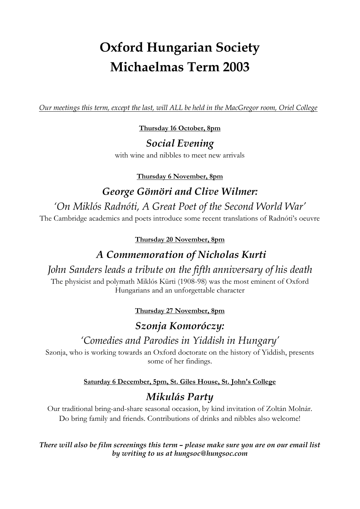# **Oxford Hungarian Society Michaelmas Term 2003**

*Our meetings this term, except the last, will ALL be held in the MacGregor room, Oriel College*

**Thursday 16 October, 8pm**

#### *Social Evening*

with wine and nibbles to meet new arrivals

**Thursday 6 November, 8pm**

## *George Gömöri and Clive Wilmer:*

## *'On Miklós Radnóti, A Great Poet of the Second World War'*

The Cambridge academics and poets introduce some recent translations of Radnóti's oeuvre

**Thursday 20 November, 8pm**

## *A Commemoration of Nicholas Kurti*

#### *John Sanders leads a tribute on the fifth anniversary of his death*

The physicist and polymath Miklós Kürti (1908-98) was the most eminent of Oxford Hungarians and an unforgettable character

**Thursday 27 November, 8pm**

## *Szonja Komoróczy:*

## *'Comedies and Parodies in Yiddish in Hungary'*

Szonja, who is working towards an Oxford doctorate on the history of Yiddish, presents some of her findings.

#### **Saturday 6 December, 5pm, St. Giles House, St. John's College**

# *Mikulás Party*

Our traditional bring-and-share seasonal occasion, by kind invitation of Zoltán Molnár. Do bring family and friends. Contributions of drinks and nibbles also welcome!

*There will also be film screenings this term – please make sure you are on our email list by writing to us at hungsoc@hungsoc.com*